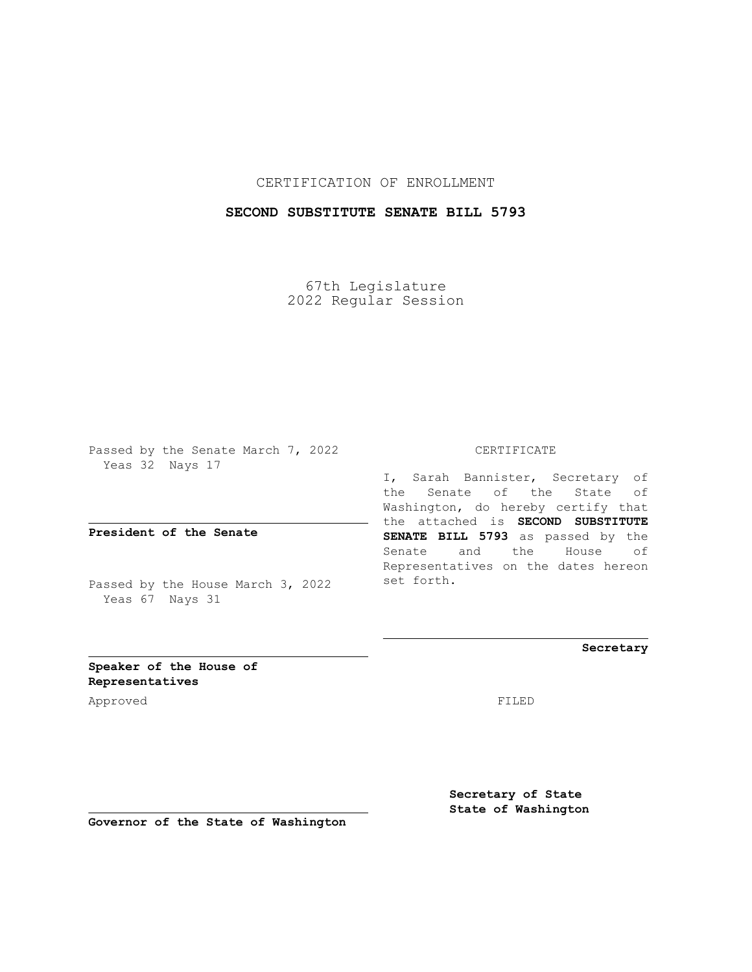## CERTIFICATION OF ENROLLMENT

## **SECOND SUBSTITUTE SENATE BILL 5793**

67th Legislature 2022 Regular Session

Passed by the Senate March 7, 2022 Yeas 32 Nays 17

**President of the Senate**

Passed by the House March 3, 2022 Yeas 67 Nays 31

CERTIFICATE

I, Sarah Bannister, Secretary of the Senate of the State of Washington, do hereby certify that the attached is **SECOND SUBSTITUTE SENATE BILL 5793** as passed by the Senate and the House of Representatives on the dates hereon set forth.

**Secretary**

**Speaker of the House of Representatives**

Approved FILED

**Secretary of State State of Washington**

**Governor of the State of Washington**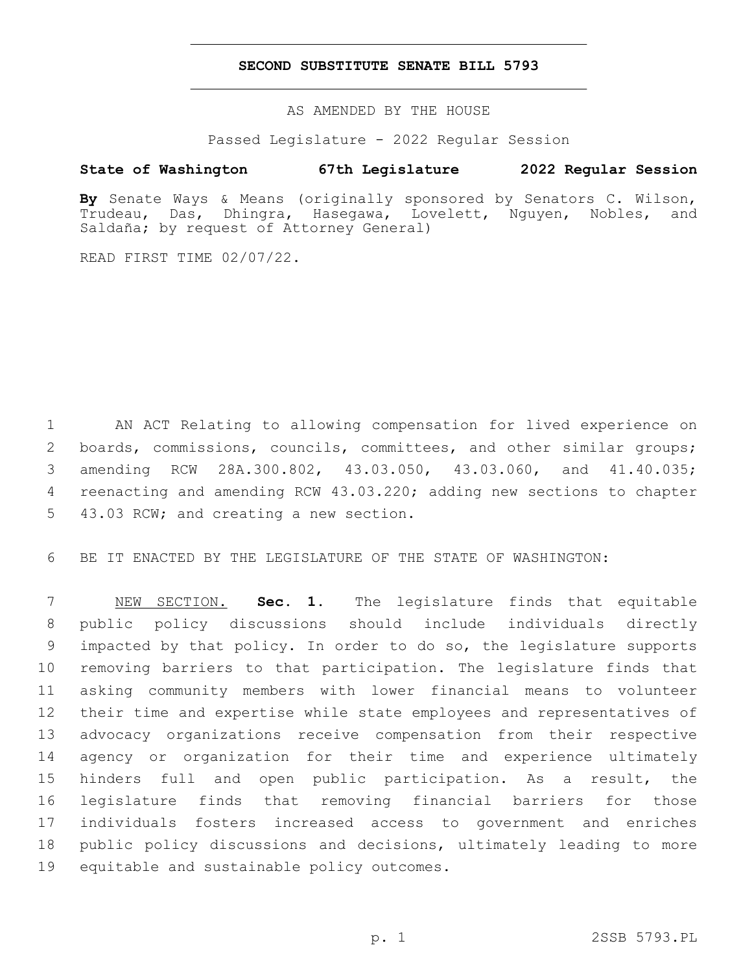## **SECOND SUBSTITUTE SENATE BILL 5793**

AS AMENDED BY THE HOUSE

Passed Legislature - 2022 Regular Session

## **State of Washington 67th Legislature 2022 Regular Session**

**By** Senate Ways & Means (originally sponsored by Senators C. Wilson, Trudeau, Das, Dhingra, Hasegawa, Lovelett, Nguyen, Nobles, and Saldaña; by request of Attorney General)

READ FIRST TIME 02/07/22.

 AN ACT Relating to allowing compensation for lived experience on 2 boards, commissions, councils, committees, and other similar groups; amending RCW 28A.300.802, 43.03.050, 43.03.060, and 41.40.035; reenacting and amending RCW 43.03.220; adding new sections to chapter 5 43.03 RCW; and creating a new section.

BE IT ENACTED BY THE LEGISLATURE OF THE STATE OF WASHINGTON:

 NEW SECTION. **Sec. 1.** The legislature finds that equitable public policy discussions should include individuals directly impacted by that policy. In order to do so, the legislature supports removing barriers to that participation. The legislature finds that asking community members with lower financial means to volunteer their time and expertise while state employees and representatives of advocacy organizations receive compensation from their respective agency or organization for their time and experience ultimately hinders full and open public participation. As a result, the legislature finds that removing financial barriers for those individuals fosters increased access to government and enriches public policy discussions and decisions, ultimately leading to more equitable and sustainable policy outcomes.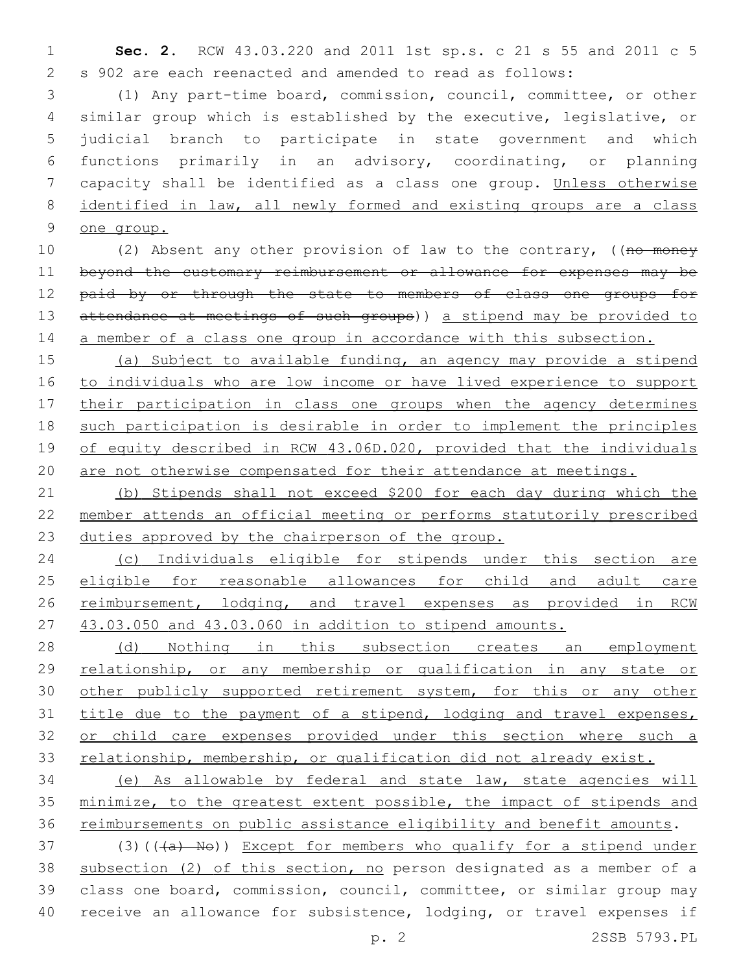**Sec. 2.** RCW 43.03.220 and 2011 1st sp.s. c 21 s 55 and 2011 c 5 s 902 are each reenacted and amended to read as follows:

 (1) Any part-time board, commission, council, committee, or other similar group which is established by the executive, legislative, or judicial branch to participate in state government and which functions primarily in an advisory, coordinating, or planning capacity shall be identified as a class one group. Unless otherwise identified in law, all newly formed and existing groups are a class one group.

10 (2) Absent any other provision of law to the contrary, ((no money beyond the customary reimbursement or allowance for expenses may be 12 paid by or through the state to members of class one groups for 13 attendance at meetings of such groups)) a stipend may be provided to 14 a member of a class one group in accordance with this subsection.

 (a) Subject to available funding, an agency may provide a stipend to individuals who are low income or have lived experience to support 17 their participation in class one groups when the agency determines such participation is desirable in order to implement the principles 19 of equity described in RCW 43.06D.020, provided that the individuals are not otherwise compensated for their attendance at meetings.

 (b) Stipends shall not exceed \$200 for each day during which the member attends an official meeting or performs statutorily prescribed duties approved by the chairperson of the group.

 (c) Individuals eligible for stipends under this section are eligible for reasonable allowances for child and adult care 26 reimbursement, lodging, and travel expenses as provided in RCW 43.03.050 and 43.03.060 in addition to stipend amounts.

28 (d) Nothing in this subsection creates an employment relationship, or any membership or qualification in any state or 30 other publicly supported retirement system, for this or any other 31 title due to the payment of a stipend, lodging and travel expenses, 32 or child care expenses provided under this section where such a 33 relationship, membership, or qualification did not already exist.

 (e) As allowable by federal and state law, state agencies will minimize, to the greatest extent possible, the impact of stipends and 36 reimbursements on public assistance eligibility and benefit amounts.

37 (3)(((a) No)) Except for members who qualify for a stipend under subsection (2) of this section, no person designated as a member of a class one board, commission, council, committee, or similar group may receive an allowance for subsistence, lodging, or travel expenses if

p. 2 2SSB 5793.PL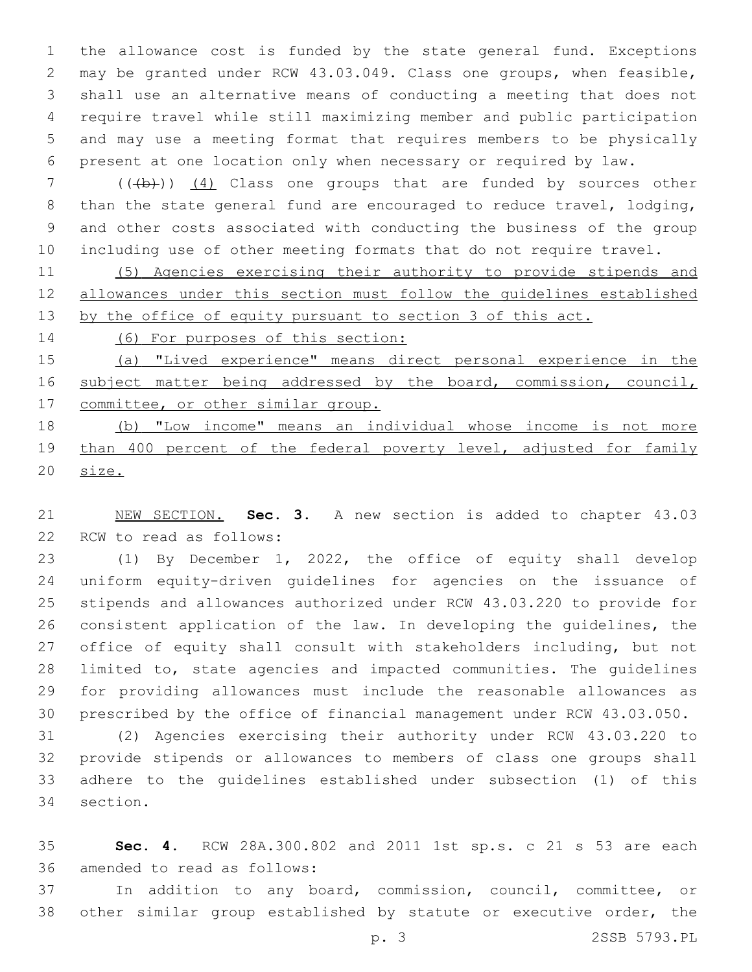the allowance cost is funded by the state general fund. Exceptions may be granted under RCW 43.03.049. Class one groups, when feasible, shall use an alternative means of conducting a meeting that does not require travel while still maximizing member and public participation and may use a meeting format that requires members to be physically present at one location only when necessary or required by law.

7 (((b)) (4) Class one groups that are funded by sources other than the state general fund are encouraged to reduce travel, lodging, and other costs associated with conducting the business of the group including use of other meeting formats that do not require travel.

 (5) Agencies exercising their authority to provide stipends and allowances under this section must follow the guidelines established 13 by the office of equity pursuant to section 3 of this act.

(6) For purposes of this section:

 (a) "Lived experience" means direct personal experience in the 16 subject matter being addressed by the board, commission, council, 17 committee, or other similar group.

 (b) "Low income" means an individual whose income is not more 19 than 400 percent of the federal poverty level, adjusted for family size.

 NEW SECTION. **Sec. 3.** A new section is added to chapter 43.03 22 RCW to read as follows:

 (1) By December 1, 2022, the office of equity shall develop uniform equity-driven guidelines for agencies on the issuance of stipends and allowances authorized under RCW 43.03.220 to provide for consistent application of the law. In developing the guidelines, the office of equity shall consult with stakeholders including, but not limited to, state agencies and impacted communities. The guidelines for providing allowances must include the reasonable allowances as prescribed by the office of financial management under RCW 43.03.050.

 (2) Agencies exercising their authority under RCW 43.03.220 to provide stipends or allowances to members of class one groups shall adhere to the guidelines established under subsection (1) of this 34 section.

 **Sec. 4.** RCW 28A.300.802 and 2011 1st sp.s. c 21 s 53 are each 36 amended to read as follows:

 In addition to any board, commission, council, committee, or other similar group established by statute or executive order, the

p. 3 2SSB 5793.PL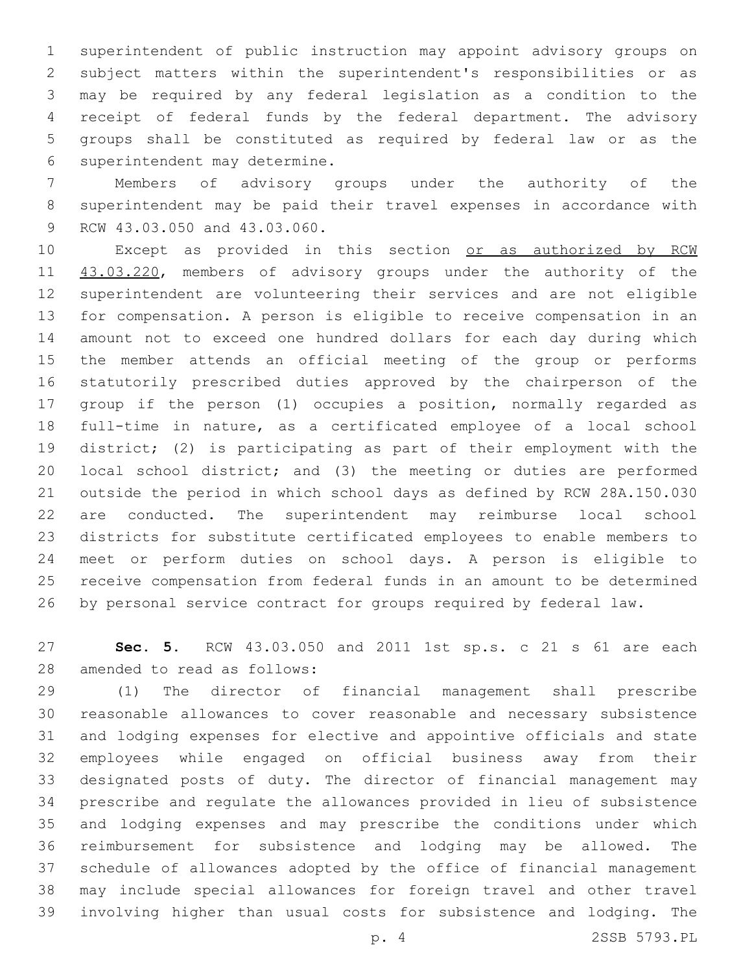superintendent of public instruction may appoint advisory groups on subject matters within the superintendent's responsibilities or as may be required by any federal legislation as a condition to the receipt of federal funds by the federal department. The advisory groups shall be constituted as required by federal law or as the 6 superintendent may determine.

 Members of advisory groups under the authority of the superintendent may be paid their travel expenses in accordance with 9 RCW 43.03.050 and 43.03.060.

10 Except as provided in this section or as authorized by RCW 11 43.03.220, members of advisory groups under the authority of the superintendent are volunteering their services and are not eligible for compensation. A person is eligible to receive compensation in an amount not to exceed one hundred dollars for each day during which the member attends an official meeting of the group or performs statutorily prescribed duties approved by the chairperson of the group if the person (1) occupies a position, normally regarded as full-time in nature, as a certificated employee of a local school district; (2) is participating as part of their employment with the local school district; and (3) the meeting or duties are performed outside the period in which school days as defined by RCW 28A.150.030 are conducted. The superintendent may reimburse local school districts for substitute certificated employees to enable members to meet or perform duties on school days. A person is eligible to receive compensation from federal funds in an amount to be determined by personal service contract for groups required by federal law.

 **Sec. 5.** RCW 43.03.050 and 2011 1st sp.s. c 21 s 61 are each 28 amended to read as follows:

 (1) The director of financial management shall prescribe reasonable allowances to cover reasonable and necessary subsistence and lodging expenses for elective and appointive officials and state employees while engaged on official business away from their designated posts of duty. The director of financial management may prescribe and regulate the allowances provided in lieu of subsistence and lodging expenses and may prescribe the conditions under which reimbursement for subsistence and lodging may be allowed. The schedule of allowances adopted by the office of financial management may include special allowances for foreign travel and other travel involving higher than usual costs for subsistence and lodging. The

p. 4 2SSB 5793.PL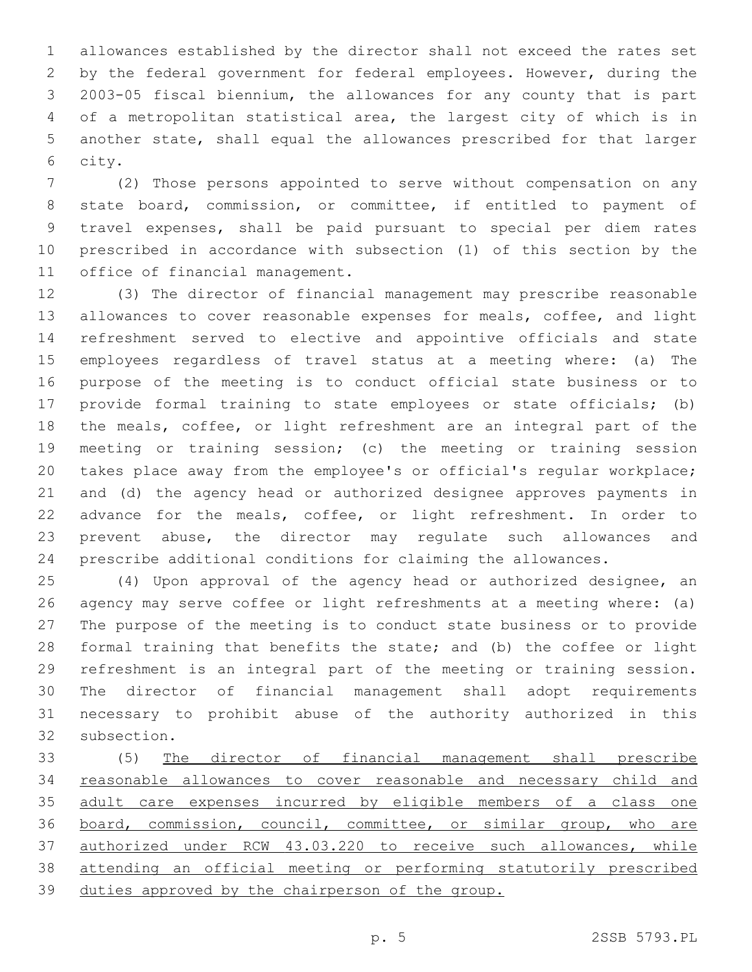allowances established by the director shall not exceed the rates set by the federal government for federal employees. However, during the 2003-05 fiscal biennium, the allowances for any county that is part of a metropolitan statistical area, the largest city of which is in another state, shall equal the allowances prescribed for that larger 6 city.

 (2) Those persons appointed to serve without compensation on any state board, commission, or committee, if entitled to payment of travel expenses, shall be paid pursuant to special per diem rates prescribed in accordance with subsection (1) of this section by the 11 office of financial management.

 (3) The director of financial management may prescribe reasonable allowances to cover reasonable expenses for meals, coffee, and light refreshment served to elective and appointive officials and state employees regardless of travel status at a meeting where: (a) The purpose of the meeting is to conduct official state business or to provide formal training to state employees or state officials; (b) the meals, coffee, or light refreshment are an integral part of the meeting or training session; (c) the meeting or training session takes place away from the employee's or official's regular workplace; and (d) the agency head or authorized designee approves payments in advance for the meals, coffee, or light refreshment. In order to prevent abuse, the director may regulate such allowances and prescribe additional conditions for claiming the allowances.

 (4) Upon approval of the agency head or authorized designee, an agency may serve coffee or light refreshments at a meeting where: (a) The purpose of the meeting is to conduct state business or to provide formal training that benefits the state; and (b) the coffee or light refreshment is an integral part of the meeting or training session. The director of financial management shall adopt requirements necessary to prohibit abuse of the authority authorized in this 32 subsection.

 (5) The director of financial management shall prescribe reasonable allowances to cover reasonable and necessary child and adult care expenses incurred by eligible members of a class one board, commission, council, committee, or similar group, who are authorized under RCW 43.03.220 to receive such allowances, while attending an official meeting or performing statutorily prescribed duties approved by the chairperson of the group.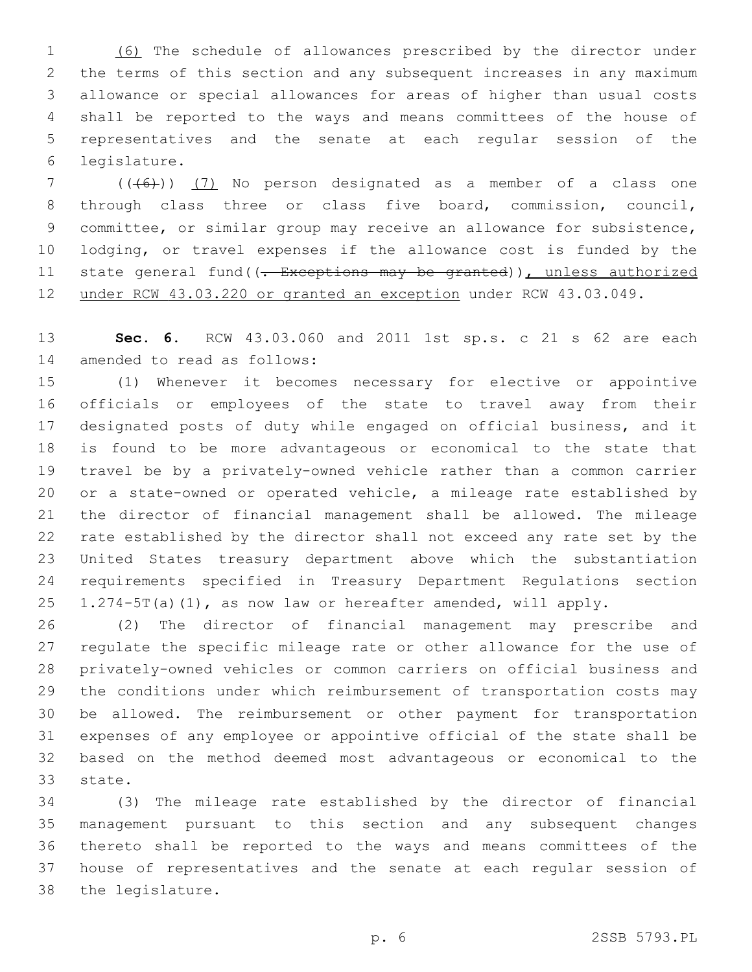(6) The schedule of allowances prescribed by the director under the terms of this section and any subsequent increases in any maximum allowance or special allowances for areas of higher than usual costs shall be reported to the ways and means committees of the house of representatives and the senate at each regular session of the legislature.6

 ( $(\overline{6})$ ) (7) No person designated as a member of a class one through class three or class five board, commission, council, committee, or similar group may receive an allowance for subsistence, lodging, or travel expenses if the allowance cost is funded by the 11 state general fund((- Exceptions may be granted)), unless authorized under RCW 43.03.220 or granted an exception under RCW 43.03.049.

 **Sec. 6.** RCW 43.03.060 and 2011 1st sp.s. c 21 s 62 are each 14 amended to read as follows:

 (1) Whenever it becomes necessary for elective or appointive officials or employees of the state to travel away from their designated posts of duty while engaged on official business, and it is found to be more advantageous or economical to the state that travel be by a privately-owned vehicle rather than a common carrier or a state-owned or operated vehicle, a mileage rate established by the director of financial management shall be allowed. The mileage rate established by the director shall not exceed any rate set by the United States treasury department above which the substantiation requirements specified in Treasury Department Regulations section 1.274-5T(a)(1), as now law or hereafter amended, will apply.

 (2) The director of financial management may prescribe and regulate the specific mileage rate or other allowance for the use of privately-owned vehicles or common carriers on official business and the conditions under which reimbursement of transportation costs may be allowed. The reimbursement or other payment for transportation expenses of any employee or appointive official of the state shall be based on the method deemed most advantageous or economical to the 33 state.

 (3) The mileage rate established by the director of financial management pursuant to this section and any subsequent changes thereto shall be reported to the ways and means committees of the house of representatives and the senate at each regular session of 38 the legislature.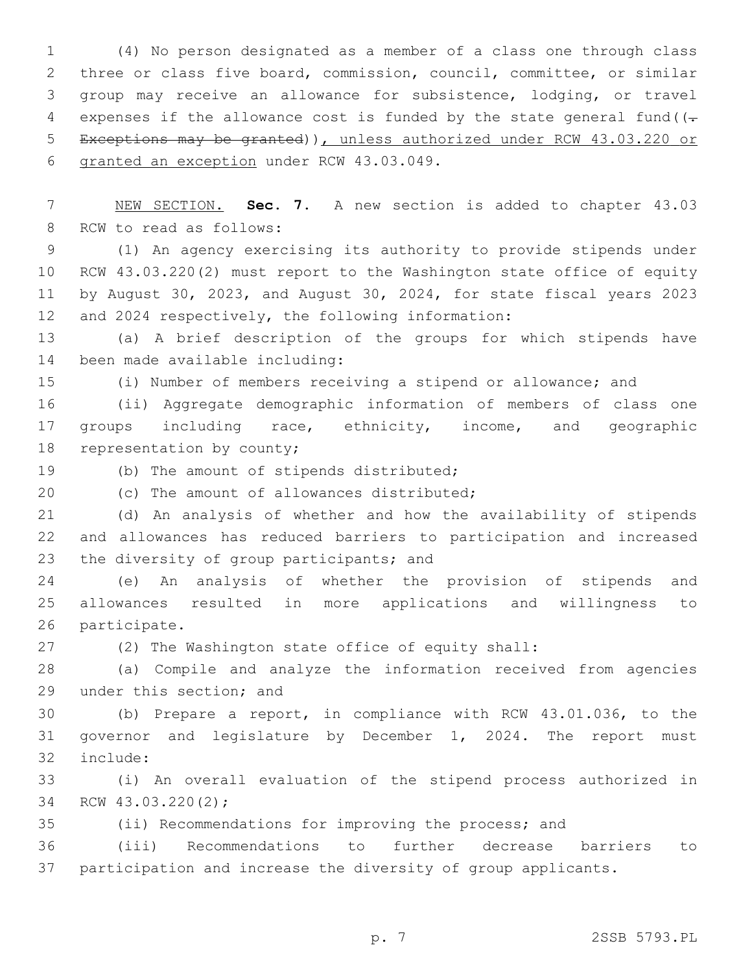(4) No person designated as a member of a class one through class three or class five board, commission, council, committee, or similar group may receive an allowance for subsistence, lodging, or travel 4 expenses if the allowance cost is funded by the state general fund  $(-$  Exceptions may be granted)), unless authorized under RCW 43.03.220 or 6 granted an exception under RCW 43.03.049.

 NEW SECTION. **Sec. 7.** A new section is added to chapter 43.03 8 RCW to read as follows:

 (1) An agency exercising its authority to provide stipends under RCW 43.03.220(2) must report to the Washington state office of equity by August 30, 2023, and August 30, 2024, for state fiscal years 2023 12 and 2024 respectively, the following information:

 (a) A brief description of the groups for which stipends have 14 been made available including:

(i) Number of members receiving a stipend or allowance; and

 (ii) Aggregate demographic information of members of class one groups including race, ethnicity, income, and geographic 18 representation by county;

19 (b) The amount of stipends distributed;

20 (c) The amount of allowances distributed;

 (d) An analysis of whether and how the availability of stipends and allowances has reduced barriers to participation and increased 23 the diversity of group participants; and

 (e) An analysis of whether the provision of stipends and allowances resulted in more applications and willingness to 26 participate.

(2) The Washington state office of equity shall:

 (a) Compile and analyze the information received from agencies 29 under this section; and

 (b) Prepare a report, in compliance with RCW 43.01.036, to the governor and legislature by December 1, 2024. The report must 32 include:

 (i) An overall evaluation of the stipend process authorized in 34 RCW 43.03.220(2);

(ii) Recommendations for improving the process; and

 (iii) Recommendations to further decrease barriers to participation and increase the diversity of group applicants.